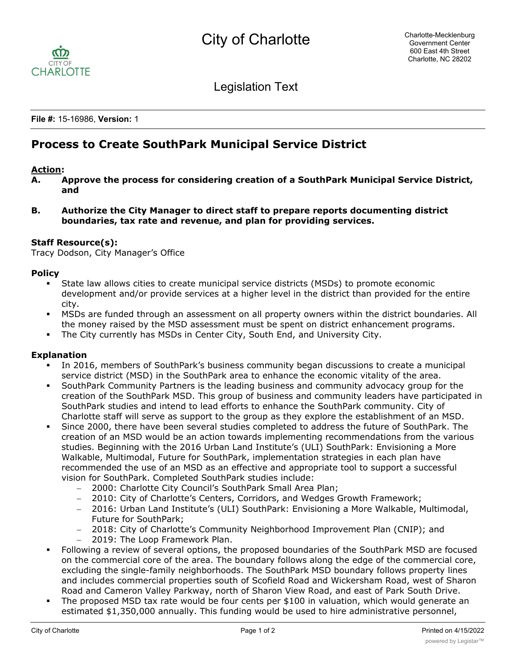

Legislation Text

**File #:** 15-16986, **Version:** 1

# **Process to Create SouthPark Municipal Service District**

#### **Action:**

- **A. Approve the process for considering creation of a SouthPark Municipal Service District, and**
- **B. Authorize the City Manager to direct staff to prepare reports documenting district boundaries, tax rate and revenue, and plan for providing services.**

#### **Staff Resource(s):**

Tracy Dodson, City Manager's Office

## **Policy**

- § State law allows cities to create municipal service districts (MSDs) to promote economic development and/or provide services at a higher level in the district than provided for the entire city.
- **MSDs are funded through an assessment on all property owners within the district boundaries. All** the money raised by the MSD assessment must be spent on district enhancement programs.
- The City currently has MSDs in Center City, South End, and University City.

## **Explanation**

- In 2016, members of SouthPark's business community began discussions to create a municipal service district (MSD) in the SouthPark area to enhance the economic vitality of the area.
- § SouthPark Community Partners is the leading business and community advocacy group for the creation of the SouthPark MSD. This group of business and community leaders have participated in SouthPark studies and intend to lead efforts to enhance the SouthPark community. City of Charlotte staff will serve as support to the group as they explore the establishment of an MSD.
- § Since 2000, there have been several studies completed to address the future of SouthPark. The creation of an MSD would be an action towards implementing recommendations from the various studies. Beginning with the 2016 Urban Land Institute's (ULI) SouthPark: Envisioning a More Walkable, Multimodal, Future for SouthPark, implementation strategies in each plan have recommended the use of an MSD as an effective and appropriate tool to support a successful vision for SouthPark. Completed SouthPark studies include:
	- 2000: Charlotte City Council's SouthPark Small Area Plan;
	- 2010: City of Charlotte's Centers, Corridors, and Wedges Growth Framework;
	- 2016: Urban Land Institute's (ULI) SouthPark: Envisioning a More Walkable, Multimodal, Future for SouthPark;
	- 2018: City of Charlotte's Community Neighborhood Improvement Plan (CNIP); and
	- 2019: The Loop Framework Plan.
- § Following a review of several options, the proposed boundaries of the SouthPark MSD are focused on the commercial core of the area. The boundary follows along the edge of the commercial core, excluding the single-family neighborhoods. The SouthPark MSD boundary follows property lines and includes commercial properties south of Scofield Road and Wickersham Road, west of Sharon Road and Cameron Valley Parkway, north of Sharon View Road, and east of Park South Drive.
- The proposed MSD tax rate would be four cents per \$100 in valuation, which would generate an estimated \$1,350,000 annually. This funding would be used to hire administrative personnel,